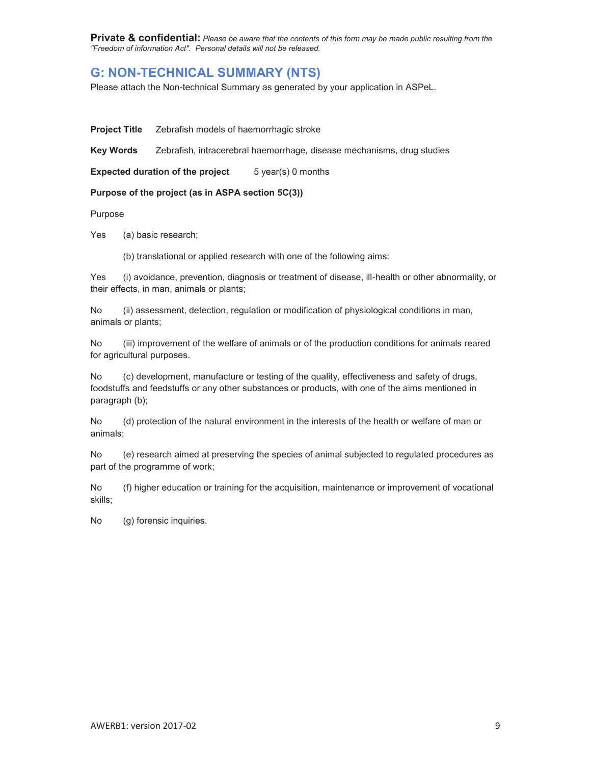**Private & confidential:** *Please be aware that the contents of this form may be made public resulting from the "Freedom of information Act". Personal details will not be released.* 

# **G: NON-TECHNICAL SUMMARY (NTS)**

Please attach the Non-technical Summary as generated by your application in ASPeL.

**Project Title** Zebrafish models of haemorrhagic stroke

**Key Words** Zebrafish, intracerebral haemorrhage, disease mechanisms, drug studies

**Expected duration of the project** 5 year(s) 0 months

#### **Purpose of the project (as in ASPA section 5C(3))**

Purpose

Yes (a) basic research;

(b) translational or applied research with one of the following aims:

Yes (i) avoidance, prevention, diagnosis or treatment of disease, ill-health or other abnormality, or their effects, in man, animals or plants;

No (ii) assessment, detection, regulation or modification of physiological conditions in man, animals or plants;

No (iii) improvement of the welfare of animals or of the production conditions for animals reared for agricultural purposes.

No (c) development, manufacture or testing of the quality, effectiveness and safety of drugs, foodstuffs and feedstuffs or any other substances or products, with one of the aims mentioned in paragraph (b);

No (d) protection of the natural environment in the interests of the health or welfare of man or animals;

No (e) research aimed at preserving the species of animal subjected to regulated procedures as part of the programme of work;

No (f) higher education or training for the acquisition, maintenance or improvement of vocational skills;

No (g) forensic inquiries.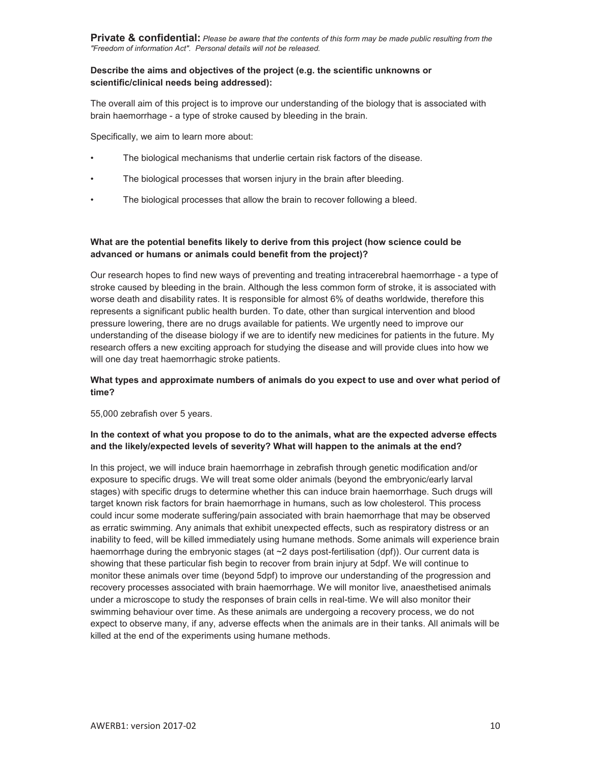**Private & confidential:** *Please be aware that the contents of this form may be made public resulting from the "Freedom of information Act". Personal details will not be released.* 

## **Describe the aims and objectives of the project (e.g. the scientific unknowns or scientific/clinical needs being addressed):**

The overall aim of this project is to improve our understanding of the biology that is associated with brain haemorrhage - a type of stroke caused by bleeding in the brain.

Specifically, we aim to learn more about:

- The biological mechanisms that underlie certain risk factors of the disease.
- The biological processes that worsen injury in the brain after bleeding.
- The biological processes that allow the brain to recover following a bleed.

# **What are the potential benefits likely to derive from this project (how science could be advanced or humans or animals could benefit from the project)?**

Our research hopes to find new ways of preventing and treating intracerebral haemorrhage - a type of stroke caused by bleeding in the brain. Although the less common form of stroke, it is associated with worse death and disability rates. It is responsible for almost 6% of deaths worldwide, therefore this represents a significant public health burden. To date, other than surgical intervention and blood pressure lowering, there are no drugs available for patients. We urgently need to improve our understanding of the disease biology if we are to identify new medicines for patients in the future. My research offers a new exciting approach for studying the disease and will provide clues into how we will one day treat haemorrhagic stroke patients.

# **What types and approximate numbers of animals do you expect to use and over what period of time?**

55,000 zebrafish over 5 years.

# **In the context of what you propose to do to the animals, what are the expected adverse effects and the likely/expected levels of severity? What will happen to the animals at the end?**

In this project, we will induce brain haemorrhage in zebrafish through genetic modification and/or exposure to specific drugs. We will treat some older animals (beyond the embryonic/early larval stages) with specific drugs to determine whether this can induce brain haemorrhage. Such drugs will target known risk factors for brain haemorrhage in humans, such as low cholesterol. This process could incur some moderate suffering/pain associated with brain haemorrhage that may be observed as erratic swimming. Any animals that exhibit unexpected effects, such as respiratory distress or an inability to feed, will be killed immediately using humane methods. Some animals will experience brain haemorrhage during the embryonic stages (at ~2 days post-fertilisation (dpf)). Our current data is showing that these particular fish begin to recover from brain injury at 5dpf. We will continue to monitor these animals over time (beyond 5dpf) to improve our understanding of the progression and recovery processes associated with brain haemorrhage. We will monitor live, anaesthetised animals under a microscope to study the responses of brain cells in real-time. We will also monitor their swimming behaviour over time. As these animals are undergoing a recovery process, we do not expect to observe many, if any, adverse effects when the animals are in their tanks. All animals will be killed at the end of the experiments using humane methods.